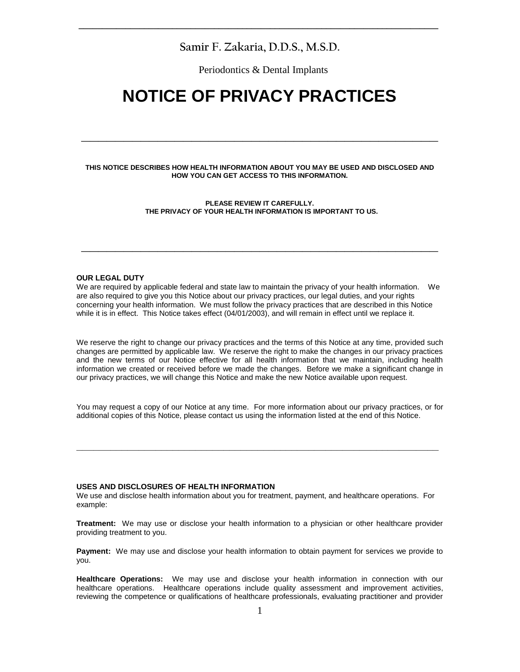# **Samir F. Zakaria, D.D.S., M.S.D.**

**\_\_\_\_\_\_\_\_\_\_\_\_\_\_\_\_\_\_\_\_\_\_\_\_\_\_\_\_\_\_\_\_\_\_\_\_\_\_\_\_\_\_\_\_\_\_\_\_\_\_\_\_\_\_\_\_\_\_\_\_\_\_\_\_\_\_\_\_\_\_\_\_\_\_\_\_\_**

Periodontics & Dental Implants

# **NOTICE OF PRIVACY PRACTICES**

### **THIS NOTICE DESCRIBES HOW HEALTH INFORMATION ABOUT YOU MAY BE USED AND DISCLOSED AND HOW YOU CAN GET ACCESS TO THIS INFORMATION.**

**\_\_\_\_\_\_\_\_\_\_\_\_\_\_\_\_\_\_\_\_\_\_\_\_\_\_\_\_\_\_\_\_\_\_\_\_\_\_\_\_\_\_**

**PLEASE REVIEW IT CAREFULLY. THE PRIVACY OF YOUR HEALTH INFORMATION IS IMPORTANT TO US.**

**\_\_\_\_\_\_\_\_\_\_\_\_\_\_\_\_\_\_\_\_\_\_\_\_\_\_\_\_\_\_\_\_\_\_\_\_\_\_\_\_\_\_**

#### **OUR LEGAL DUTY**

We are required by applicable federal and state law to maintain the privacy of your health information. We are also required to give you this Notice about our privacy practices, our legal duties, and your rights concerning your health information. We must follow the privacy practices that are described in this Notice while it is in effect. This Notice takes effect (04/01/2003), and will remain in effect until we replace it.

We reserve the right to change our privacy practices and the terms of this Notice at any time, provided such changes are permitted by applicable law. We reserve the right to make the changes in our privacy practices and the new terms of our Notice effective for all health information that we maintain, including health information we created or received before we made the changes. Before we make a significant change in our privacy practices, we will change this Notice and make the new Notice available upon request.

You may request a copy of our Notice at any time. For more information about our privacy practices, or for additional copies of this Notice, please contact us using the information listed at the end of this Notice.

**\_\_\_\_\_\_\_\_\_\_\_\_\_\_\_\_\_\_\_\_\_\_\_\_\_\_\_\_\_\_\_\_\_\_\_\_\_\_\_\_\_\_\_\_\_\_\_\_\_\_\_\_\_\_\_\_\_\_\_\_\_\_\_\_**

# **USES AND DISCLOSURES OF HEALTH INFORMATION**

We use and disclose health information about you for treatment, payment, and healthcare operations. For example:

**Treatment:** We may use or disclose your health information to a physician or other healthcare provider providing treatment to you.

**Payment:** We may use and disclose your health information to obtain payment for services we provide to you.

**Healthcare Operations:** We may use and disclose your health information in connection with our healthcare operations. Healthcare operations include quality assessment and improvement activities, reviewing the competence or qualifications of healthcare professionals, evaluating practitioner and provider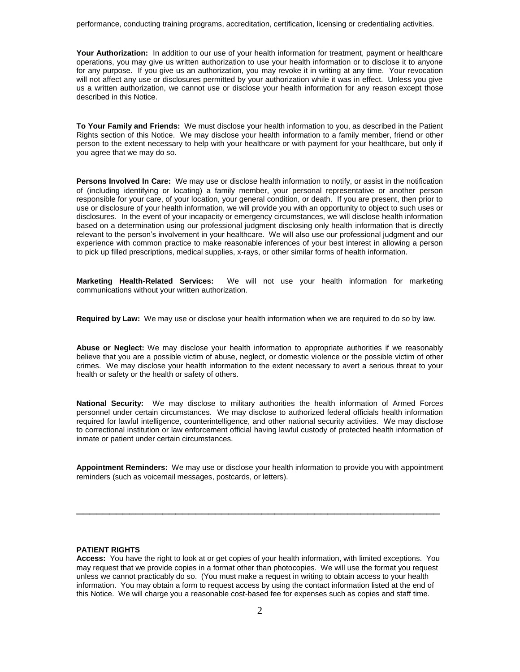**Your Authorization:** In addition to our use of your health information for treatment, payment or healthcare operations, you may give us written authorization to use your health information or to disclose it to anyone for any purpose. If you give us an authorization, you may revoke it in writing at any time. Your revocation will not affect any use or disclosures permitted by your authorization while it was in effect. Unless you give us a written authorization, we cannot use or disclose your health information for any reason except those described in this Notice.

**To Your Family and Friends:** We must disclose your health information to you, as described in the Patient Rights section of this Notice. We may disclose your health information to a family member, friend or other person to the extent necessary to help with your healthcare or with payment for your healthcare, but only if you agree that we may do so.

**Persons Involved In Care:** We may use or disclose health information to notify, or assist in the notification of (including identifying or locating) a family member, your personal representative or another person responsible for your care, of your location, your general condition, or death. If you are present, then prior to use or disclosure of your health information, we will provide you with an opportunity to object to such uses or disclosures. In the event of your incapacity or emergency circumstances, we will disclose health information based on a determination using our professional judgment disclosing only health information that is directly relevant to the person's involvement in your healthcare. We will also use our professional judgment and our experience with common practice to make reasonable inferences of your best interest in allowing a person to pick up filled prescriptions, medical supplies, x-rays, or other similar forms of health information.

**Marketing Health-Related Services:** We will not use your health information for marketing communications without your written authorization.

**Required by Law:** We may use or disclose your health information when we are required to do so by law.

**Abuse or Neglect:** We may disclose your health information to appropriate authorities if we reasonably believe that you are a possible victim of abuse, neglect, or domestic violence or the possible victim of other crimes. We may disclose your health information to the extent necessary to avert a serious threat to your health or safety or the health or safety of others.

**National Security:** We may disclose to military authorities the health information of Armed Forces personnel under certain circumstances. We may disclose to authorized federal officials health information required for lawful intelligence, counterintelligence, and other national security activities. We may disclose to correctional institution or law enforcement official having lawful custody of protected health information of inmate or patient under certain circumstances.

**Appointment Reminders:** We may use or disclose your health information to provide you with appointment reminders (such as voicemail messages, postcards, or letters).

\_\_\_\_\_\_\_\_\_\_\_\_\_\_\_\_\_\_\_\_\_\_\_\_\_\_\_\_\_\_\_\_\_\_\_\_\_\_\_\_\_\_\_\_\_\_\_\_\_\_\_\_\_\_\_

# **PATIENT RIGHTS**

**Access:** You have the right to look at or get copies of your health information, with limited exceptions. You may request that we provide copies in a format other than photocopies. We will use the format you request unless we cannot practicably do so. (You must make a request in writing to obtain access to your health information. You may obtain a form to request access by using the contact information listed at the end of this Notice. We will charge you a reasonable cost-based fee for expenses such as copies and staff time.